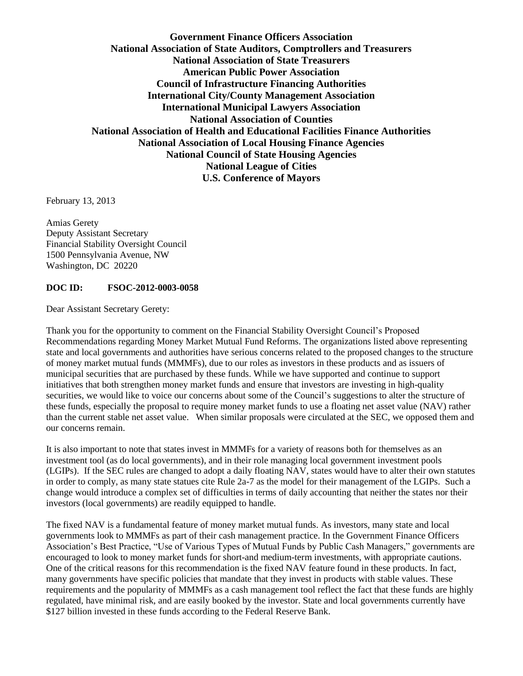**Government Finance Officers Association National Association of State Auditors, Comptrollers and Treasurers National Association of State Treasurers American Public Power Association Council of Infrastructure Financing Authorities International City/County Management Association International Municipal Lawyers Association National Association of Counties National Association of Health and Educational Facilities Finance Authorities National Association of Local Housing Finance Agencies National Council of State Housing Agencies National League of Cities U.S. Conference of Mayors**

February 13, 2013

Amias Gerety Deputy Assistant Secretary Financial Stability Oversight Council 1500 Pennsylvania Avenue, NW Washington, DC 20220

## **DOC ID: FSOC-2012-0003-0058**

Dear Assistant Secretary Gerety:

Thank you for the opportunity to comment on the Financial Stability Oversight Council's Proposed Recommendations regarding Money Market Mutual Fund Reforms. The organizations listed above representing state and local governments and authorities have serious concerns related to the proposed changes to the structure of money market mutual funds (MMMFs), due to our roles as investors in these products and as issuers of municipal securities that are purchased by these funds. While we have supported and continue to support initiatives that both strengthen money market funds and ensure that investors are investing in high-quality securities, we would like to voice our concerns about some of the Council's suggestions to alter the structure of these funds, especially the proposal to require money market funds to use a floating net asset value (NAV) rather than the current stable net asset value. When similar proposals were circulated at the SEC, we opposed them and our concerns remain.

It is also important to note that states invest in MMMFs for a variety of reasons both for themselves as an investment tool (as do local governments), and in their role managing local government investment pools (LGIPs). If the SEC rules are changed to adopt a daily floating NAV, states would have to alter their own statutes in order to comply, as many state statues cite Rule 2a-7 as the model for their management of the LGIPs. Such a change would introduce a complex set of difficulties in terms of daily accounting that neither the states nor their investors (local governments) are readily equipped to handle.

The fixed NAV is a fundamental feature of money market mutual funds. As investors, many state and local governments look to MMMFs as part of their cash management practice. In the Government Finance Officers Association's Best Practice, "Use of Various Types of Mutual Funds by Public Cash Managers," governments are encouraged to look to money market funds for short-and medium-term investments, with appropriate cautions. One of the critical reasons for this recommendation is the fixed NAV feature found in these products. In fact, many governments have specific policies that mandate that they invest in products with stable values. These requirements and the popularity of MMMFs as a cash management tool reflect the fact that these funds are highly regulated, have minimal risk, and are easily booked by the investor. State and local governments currently have \$127 billion invested in these funds according to the Federal Reserve Bank.